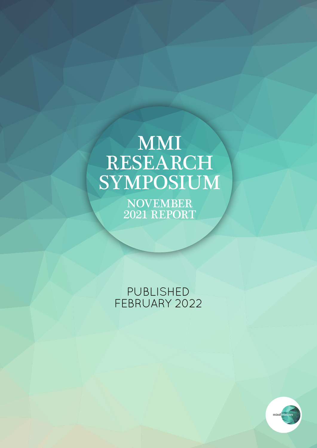# MMI RESEARCH SYMPOSIUM

NOVEMBER 2021 REPORT

PUBLISHED FEBRUARY 2022

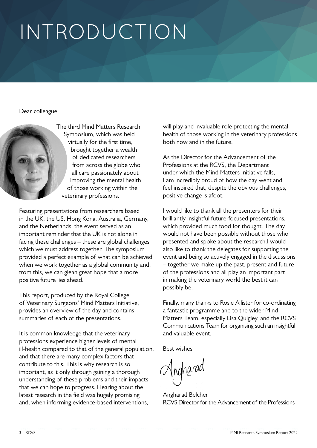# INTRODUCTION

Dear colleague



The third Mind Matters Research Symposium, which was held virtually for the first time, brought together a wealth of dedicated researchers from across the globe who all care passionately about improving the mental health of those working within the veterinary professions.

Featuring presentations from researchers based in the UK, the US, Hong Kong, Australia, Germany, and the Netherlands, the event served as an important reminder that the UK is not alone in facing these challenges – these are global challenges which we must address together. The symposium provided a perfect example of what can be achieved when we work together as a global community and, from this, we can glean great hope that a more positive future lies ahead.

This report, produced by the Royal College of Veterinary Surgeons' Mind Matters Initiative, provides an overview of the day and contains summaries of each of the presentations.

It is common knowledge that the veterinary professions experience higher levels of mental ill-health compared to that of the general population, and that there are many complex factors that contribute to this. This is why research is so important, as it only through gaining a thorough understanding of these problems and their impacts that we can hope to progress. Hearing about the latest research in the field was hugely promising and, when informing evidence-based interventions,

will play and invaluable role protecting the mental health of those working in the veterinary professions both now and in the future.

As the Director for the Advancement of the Professions at the RCVS, the Department under which the Mind Matters Initiative falls, I am incredibly proud of how the day went and feel inspired that, despite the obvious challenges, positive change is afoot.

I would like to thank all the presenters for their brilliantly insightful future-focused presentations, which provided much food for thought. The day would not have been possible without those who presented and spoke about the research.I would also like to thank the delegates for supporting the event and being so actively engaged in the discussions – together we make up the past, present and future of the professions and all play an important part in making the veterinary world the best it can possibly be.

Finally, many thanks to Rosie Allister for co-ordinating a fantastic programme and to the wider Mind Matters Team, especially Lisa Quigley, and the RCVS Communications Team for organising such an insightful and valuable event.

Best wishes

Jngharad

Angharad Belcher RCVS Director for the Advancement of the Professions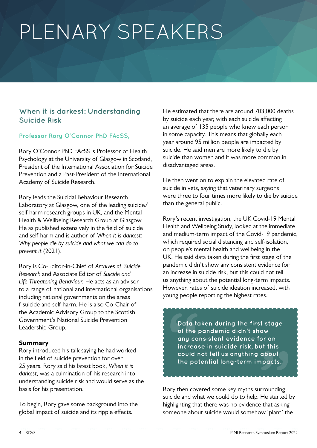# PLENARY SPEAKERS

# **When it is darkest: Understanding Suicide Risk**

### **Professor Rory O'Connor PhD FAcSS,**

Rory O'Connor PhD FAcSS is Professor of Health Psychology at the University of Glasgow in Scotland, President of the International Association for Suicide Prevention and a Past-President of the International Academy of Suicide Research.

Rory leads the Suicidal Behaviour Research Laboratory at Glasgow, one of the leading suicide/ self-harm research groups in UK, and the Mental Health & Wellbeing Research Group at Glasgow. He as published extensively in the field of suicide and self-harm and is author of *When it is darkest: Why people die by suicide and what we can do to prevent it* (2021).

Rory is Co-Editor-in-Chief of *Archives of Suicide Research* and Associate Editor of *Suicide and Life-Threatening Behaviour.* He acts as an advisor to a range of national and international organisations including national governments on the areas f suicide and self-harm. He is also Co-Chair of the Academic Advisory Group to the Scottish Government's National Suicide Prevention Leadership Group.

### **Summary**

Rory introduced his talk saying he had worked in the field of suicide prevention for over 25 years. Rory said his latest book, *When it is darkest*, was a culmination of his research into understanding suicide risk and would serve as the basis for his presentation.

To begin, Rory gave some background into the global impact of suicide and its ripple effects.

He estimated that there are around 703,000 deaths by suicide each year, with each suicide affecting an average of 135 people who knew each person in some capacity. This means that globally each year around 95 million people are impacted by suicide. He said men are more likely to die by suicide than women and it was more common in disadvantaged areas.

He then went on to explain the elevated rate of suicide in vets, saying that veterinary surgeons were three to four times more likely to die by suicide than the general public.

Rory's recent investigation, the UK Covid-19 Mental Health and Wellbeing Study, looked at the immediate and medium-term impact of the Covid-19 pandemic, which required social distancing and self-isolation, on people's mental health and wellbeing in the UK. He said data taken during the first stage of the pandemic didn't show any consistent evidence for an increase in suicide risk, but this could not tell us anything about the potential long-term impacts. However, rates of suicide ideation increased, with young people reporting the highest rates.

ow<br>**ow**<br>or an<br>ut this<br>about<br>pacts. **Data**<br>
of th<br>
any a<br>
incre<br>
could<br>
the p **Data taken during the first stage of the pandemic didn't show any consistent evidence for an increase in suicide risk, but this could not tell us anything about the potential long-term impacts.**

Rory then covered some key myths surrounding suicide and what we could do to help. He started by highlighting that there was no evidence that asking someone about suicide would somehow 'plant' the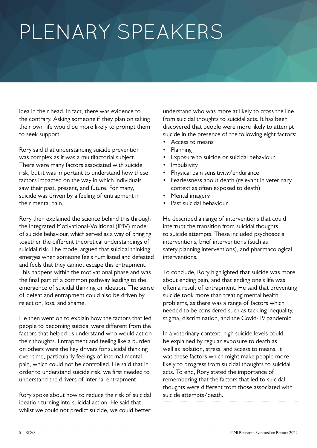# PLENARY SPEAKERS

idea in their head. In fact, there was evidence to the contrary. Asking someone if they plan on taking their own life would be more likely to prompt them to seek support.

Rory said that understanding suicide prevention was complex as it was a multifactorial subject. There were many factors associated with suicide risk, but it was important to understand how these factors impacted on the way in which individuals saw their past, present, and future. For many, suicide was driven by a feeling of entrapment in their mental pain.

Rory then explained the science behind this through the Integrated Motivational-Volitional (IMV) model of suicide behaviour, which served as a way of bringing together the different theoretical understandings of suicidal risk. The model argued that suicidal thinking emerges when someone feels humiliated and defeated and feels that they cannot escape this entrapment. This happens within the motivational phase and was the final part of a common pathway leading to the emergence of suicidal thinking or ideation. The sense of defeat and entrapment could also be driven by rejection, loss, and shame.

He then went on to explain how the factors that led people to becoming suicidal were different from the factors that helped us understand who would act on their thoughts. Entrapment and feeling like a burden on others were the key drivers for suicidal thinking over time, particularly feelings of internal mental pain, which could not be controlled. He said that in order to understand suicide risk, we first needed to understand the drivers of internal entrapment.

Rory spoke about how to reduce the risk of suicidal ideation turning into suicidal action. He said that whilst we could not predict suicide, we could better

understand who was more at likely to cross the line from suicidal thoughts to suicidal acts. It has been discovered that people were more likely to attempt suicide in the presence of the following eight factors:

- Access to means
- Planning
- Exposure to suicide or suicidal behaviour
- **Impulsivity**
- Physical pain sensitivity/endurance
- Fearlessness about death (relevant in veterinary context as often exposed to death)
- Mental imagery
- Past suicidal behaviour

He described a range of interventions that could interrupt the transition from suicidal thoughts to suicide attempts. These included psychosocial interventions, brief interventions (such as safety planning interventions), and pharmacological interventions.

To conclude, Rory highlighted that suicide was more about ending pain, and that ending one's life was often a result of entrapment. He said that preventing suicide took more than treating mental health problems, as there was a range of factors which needed to be considered such as tackling inequality, stigma, discrimination, and the Covid-19 pandemic.

In a veterinary context, high suicide levels could be explained by regular exposure to death as well as isolation, stress, and access to means. It was these factors which might make people more likely to progress from suicidal thoughts to suicidal acts. To end, Rory stated the importance of remembering that the factors that led to suicidal thoughts were different from those associated with suicide attempts/death.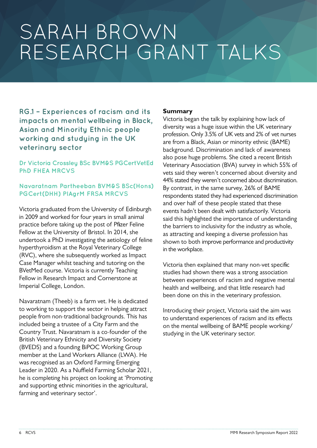**RG.1 – Experiences of racism and its impacts on mental wellbeing in Black, Asian and Minority Ethnic people working and studying in the UK veterinary sector**

### **Dr Victoria Crossley BSc BVM&S PGCertVetEd PhD FHEA MRCVS**

### **Navaratnam Partheeban BVM&S BSc(Hons) PGCert(DHH) PIAgrM FRSA MRCVS**

Victoria graduated from the University of Edinburgh in 2009 and worked for four years in small animal practice before taking up the post of Pfizer Feline Fellow at the University of Bristol. In 2014, she undertook a PhD investigating the aetiology of feline hyperthyroidism at the Royal Veterinary College (RVC), where she subsequently worked as Impact Case Manager whilst teaching and tutoring on the BVetMed course. Victoria is currently Teaching Fellow in Research Impact and Cornerstone at Imperial College, London.

Navaratnam (Theeb) is a farm vet. He is dedicated to working to support the sector in helping attract people from non-traditional backgrounds. This has included being a trustee of a City Farm and the Country Trust. Navaratnam is a co-founder of the British Veterinary Ethnicity and Diversity Society (BVEDS) and a founding BiPOC Working Group member at the Land Workers Alliance (LWA). He was recognised as an Oxford Farming Emerging Leader in 2020. As a Nuffield Farming Scholar 2021, he is completing his project on looking at 'Promoting and supporting ethnic minorities in the agricultural, farming and veterinary sector'.

### **Summary**

Victoria began the talk by explaining how lack of diversity was a huge issue within the UK veterinary profession. Only 3.5% of UK vets and 2% of vet nurses are from a Black, Asian or minority ethnic (BAME) background. Discrimination and lack of awareness also pose huge problems. She cited a recent British Veterinary Association (BVA) survey in which 55% of vets said they weren't concerned about diversity and 44% stated they weren't concerned about discrimination. By contrast, in the same survey, 26% of BAME respondents stated they had experienced discrimination and over half of these people stated that these events hadn't been dealt with satisfactorily. Victoria said this highlighted the importance of understanding the barriers to inclusivity for the industry as whole, as attracting and keeping a diverse profession has shown to both improve performance and productivity in the workplace.

Victoria then explained that many non-vet specific studies had shown there was a strong association between experiences of racism and negative mental health and wellbeing, and that little research had been done on this in the veterinary profession.

Introducing their project, Victoria said the aim was to understand experiences of racism and its effects on the mental wellbeing of BAME people working/ studying in the UK veterinary sector.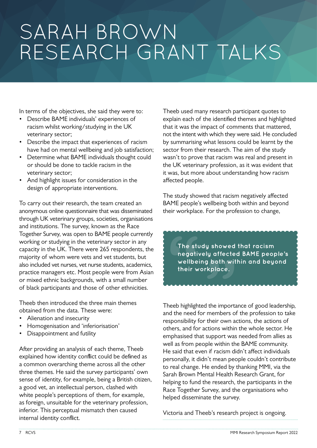In terms of the objectives, she said they were to:

- Describe BAME individuals' experiences of racism whilst working/studying in the UK veterinary sector;
- Describe the impact that experiences of racism have had on mental wellbeing and job satisfaction;
- Determine what BAME individuals thought could or should be done to tackle racism in the veterinary sector;
- And highlight issues for consideration in the design of appropriate interventions.

To carry out their research, the team created an anonymous online questionnaire that was disseminated through UK veterinary groups, societies, organisations and institutions. The survey, known as the Race Together Survey, was open to BAME people currently working or studying in the veterinary sector in any capacity in the UK. There were 265 respondents, the majority of whom were vets and vet students, but also included vet nurses, vet nurse students, academics, practice managers etc. Most people were from Asian or mixed ethnic backgrounds, with a small number of black participants and those of other ethnicities.

Theeb then introduced the three main themes obtained from the data. These were:

- Alienation and insecurity
- Homogenisation and 'inferiorisation'
- Disappointment and futility

After providing an analysis of each theme, Theeb explained how identity conflict could be defined as a common overarching theme across all the other three themes. He said the survey participants' own sense of identity, for example, being a British citizen, a good vet, an intellectual person, clashed with white people's perceptions of them, for example, as foreign, unsuitable for the veterinary profession, inferior. This perceptual mismatch then caused internal identity conflict.

Theeb used many research participant quotes to explain each of the identified themes and highlighted that it was the impact of comments that mattered, not the intent with which they were said. He concluded by summarising what lessons could be learnt by the sector from their research. The aim of the study wasn't to prove that racism was real and present in the UK veterinary profession, as it was evident that it was, but more about understanding how racism affected people.

The study showed that racism negatively affected BAME people's wellbeing both within and beyond their workplace. For the profession to change,

**y** showed t<br>y affected<br>p both with<br>kplace. The space<br> **The space**<br>
well their<br>
space of the space of the space of the space of the space of the space of the space of the space of the space of the space of the space of the space of the space of the space of the spac **The study showed that racism negatively affected BAME people's wellbeing both within and beyond their workplace.**

Theeb highlighted the importance of good leadership, and the need for members of the profession to take responsibility for their own actions, the actions of others, and for actions within the whole sector. He emphasised that support was needed from allies as well as from people within the BAME community. He said that even if racism didn't affect individuals personally, it didn't mean people couldn't contribute to real change. He ended by thanking MMI, via the Sarah Brown Mental Health Research Grant, for helping to fund the research, the participants in the Race Together Survey, and the organisations who helped disseminate the survey.

Victoria and Theeb's research project is ongoing.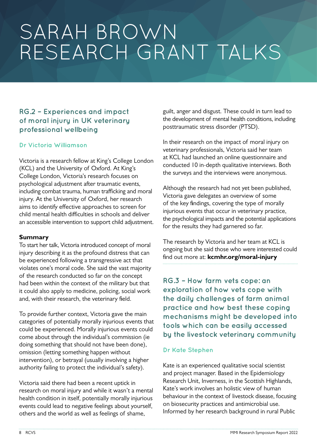## **RG.2 – Experiences and impact of moral injury in UK veterinary professional wellbeing**

### **Dr Victoria Williamson**

Victoria is a research fellow at King's College London (KCL) and the University of Oxford. At King's College London, Victoria's research focuses on psychological adjustment after traumatic events, including combat trauma, human trafficking and moral injury. At the University of Oxford, her research aims to identify effective approaches to screen for child mental health difficulties in schools and deliver an accessible intervention to support child adjustment.

#### **Summary**

To start her talk, Victoria introduced concept of moral injury describing it as the profound distress that can be experienced following a transgressive act that violates one's moral code. She said the vast majority of the research conducted so far on the concept had been within the context of the military but that it could also apply to medicine, policing, social work and, with their research, the veterinary field.

To provide further context, Victoria gave the main categories of potentially morally injurious events that could be experienced. Morally injurious events could come about through the individual's commission (ie doing something that should not have been done), omission (letting something happen without intervention), or betrayal (usually involving a higher authority failing to protect the individual's safety).

Victoria said there had been a recent uptick in research on moral injury and while it wasn't a mental health condition in itself, potentially morally injurious events could lead to negative feelings about yourself, others and the world as well as feelings of shame,

guilt, anger and disgust. These could in turn lead to the development of mental health conditions, including posttraumatic stress disorder (PTSD).

In their research on the impact of moral injury on veterinary professionals, Victoria said her team at KCL had launched an online questionnaire and conducted 10 in-depth qualitative interviews. Both the surveys and the interviews were anonymous.

Although the research had not yet been published, Victoria gave delegates an overview of some of the key findings, covering the type of morally injurious events that occur in veterinary practice, the psychological impacts and the potential applications for the results they had garnered so far.

The research by Victoria and her team at KCL is ongoing but she said those who were interested could find out more at: **[kcmhr.org/moral-injury](https://kcmhr.org/moral-injury/)**

**RG.3 – How farm vets cope: an exploration of how vets cope with the daily challenges of farm animal practice and how best these coping mechanisms might be developed into tools which can be easily accessed by the livestock veterinary community**

### **Dr Kate Stephen**

Kate is an experienced qualitative social scientist and project manager. Based in the Epidemiology Research Unit, Inverness, in the Scottish Highlands, Kate's work involves an holistic view of human behaviour in the context of livestock disease, focusing on biosecurity practices and antimicrobial use. Informed by her research background in rural Public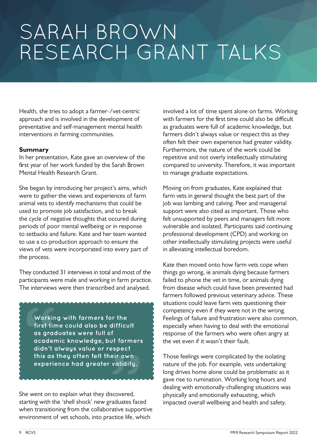Health, she tries to adopt a farmer-/vet-centric approach and is involved in the development of preventative and self-management mental health interventions in farming communities.

#### **Summary**

In her presentation, Kate gave an overview of the first year of her work funded by the Sarah Brown Mental Health Research Grant.

She began by introducing her project's aims, which were to gather the views and experiences of farm animal vets to identify mechanisms that could be used to promote job satisfaction, and to break the cycle of negative thoughts that occured during periods of poor mental wellbeing or in response to setbacks and failure. Kate and her team wanted to use a co-production approach to ensure the views of vets were incorporated into every part of the process.

They conducted 31 interviews in total and most of the participants were male and working in farm practice. The interviews were then transcribed and analysed.

<sup>†</sup><br>!t farmers<br>spect<br>eir own<br>validity. **Worl**<br>
first<br>
as gr<br>
acad<br>
didn<br>
this c<br>
expe **Working with farmers for the first time could also be difficult as graduates were full of academic knowledge, but farmers didn't always value or respect this as they often felt their own experience had greater validity.**

She went on to explain what they discovered, starting with the 'shell shock' new graduates faced when transitioning from the collaborative supportive environment of vet schools, into practice life, which

involved a lot of time spent alone on farms. Working with farmers for the first time could also be difficult as graduates were full of academic knowledge, but farmers didn't always value or respect this as they often felt their own experience had greater validity. Furthermore, the nature of the work could be repetitive and not overly intellectually stimulating compared to university. Therefore, it was important to manage graduate expectations.

Moving on from graduates, Kate explained that farm vets in general thought the best part of the job was lambing and calving. Peer and managerial support were also cited as important. Those who felt unsupported by peers and managers felt more vulnerable and isolated. Participants said continuing professional development (CPD) and working on other intellectually stimulating projects were useful in alleviating intellectual boredom.

Kate then moved onto how farm vets cope when things go wrong, ie animals dying because farmers failed to phone the vet in time, or animals dying from disease which could have been prevented had farmers followed previous veterinary advice. These situations could leave farm vets questioning their competency even if they were not in the wrong. Feelings of failure and frustration were also common, especially when having to deal with the emotional response of the farmers who were often angry at the vet even if it wasn't their fault.

Those feelings were complicated by the isolating nature of the job. For example, vets undertaking long drives home alone could be problematic as it gave rise to rumination. Working long hours and dealing with emotionally-challenging situations was physically and emotionally exhausting, which impacted overall wellbeing and health and safety.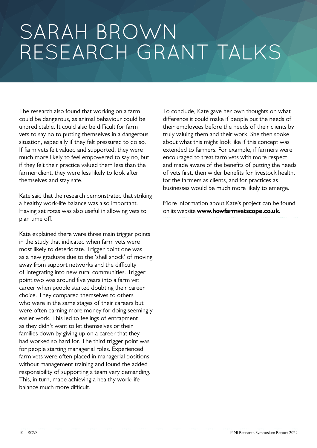The research also found that working on a farm could be dangerous, as animal behaviour could be unpredictable. It could also be difficult for farm vets to say no to putting themselves in a dangerous situation, especially if they felt pressured to do so. If farm vets felt valued and supported, they were much more likely to feel empowered to say no, but if they felt their practice valued them less than the farmer client, they were less likely to look after themselves and stay safe.

Kate said that the research demonstrated that striking a healthy work-life balance was also important. Having set rotas was also useful in allowing vets to plan time off.

Kate explained there were three main trigger points in the study that indicated when farm vets were most likely to deteriorate. Trigger point one was as a new graduate due to the 'shell shock' of moving away from support networks and the difficulty of integrating into new rural communities. Trigger point two was around five years into a farm vet career when people started doubting their career choice. They compared themselves to others who were in the same stages of their careers but were often earning more money for doing seemingly easier work. This led to feelings of entrapment as they didn't want to let themselves or their families down by giving up on a career that they had worked so hard for. The third trigger point was for people starting managerial roles. Experienced farm vets were often placed in managerial positions without management training and found the added responsibility of supporting a team very demanding. This, in turn, made achieving a healthy work-life balance much more difficult.

To conclude, Kate gave her own thoughts on what difference it could make if people put the needs of their employees before the needs of their clients by truly valuing them and their work. She then spoke about what this might look like if this concept was extended to farmers. For example, if farmers were encouraged to treat farm vets with more respect and made aware of the benefits of putting the needs of vets first, then wider benefits for livestock health, for the farmers as clients, and for practices as businesses would be much more likely to emerge.

More information about Kate's project can be found on its website **[www.howfarmvetscope.co.uk](https://www.howfarmvetscope.co.uk/)**.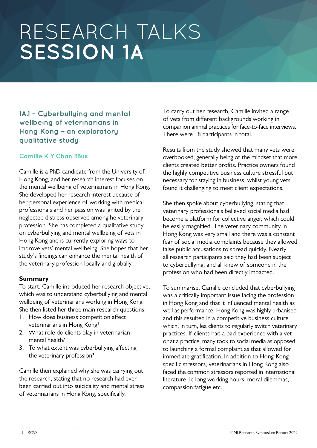# **1A.1 – Cyberbullying and mental wellbeing of veterinarians in Hong Kong – an exploratory qualitative study**

### **Camille K Y Chan BBus**

Camille is a PhD candidate from the University of Hong Kong, and her research interest focuses on the mental wellbeing of veterinarians in Hong Kong. She developed her research interest because of her personal experience of working with medical professionals and her passion was ignited by the neglected distress observed among he veterinary profession. She has completed a qualitative study on cyberbullying and mental wellbeing of vets in Hong Kong and is currently exploring ways to improve vets' mental wellbeing. She hopes that her study's findings can enhance the mental health of the veterinary profession locally and globally.

### **Summary**

To start, Camille introduced her research objective, which was to understand cyberbullying and mental wellbeing of veterinarians working in Hong Kong. She then listed her three main research questions:

- 1. How does business competition affect veterinarians in Hong Kong?
- 2. What role do clients play in veterinarian mental health?
- 3. To what extent was cyberbullying affecting the veterinary profession?

Camille then explained why she was carrying out the research, stating that no research had ever been carried out into suicidality and mental stress of veterinarians in Hong Kong, specifically.

To carry out her research, Camille invited a range of vets from different backgrounds working in companion animal practices for face-to-face interviews. There were 18 participants in total.

Results from the study showed that many vets were overbooked, generally being of the mindset that more clients created better profits. Practice owners found the highly competitive business culture stressful but necessary for staying in business, whilst young vets found it challenging to meet client expectations.

She then spoke about cyberbullying, stating that veterinary professionals believed social media had become a platform for collective anger, which could be easily magnified. The veterinary community in Hong Kong was very small and there was a constant fear of social media complaints because they allowed false public accusations to spread quickly. Nearly all research participants said they had been subject to cyberbullying, and all knew of someone in the profession who had been directly impacted.

To summarise, Camille concluded that cyberbullying was a critically important issue facing the profession in Hong Kong and that it influenced mental health as well as performance. Hong Kong was highly urbanised and this resulted in a competitive business culture which, in turn, lea clients to regularly switch veterinary practices. If clients had a bad experience with a vet or at a practice, many took to social media as opposed to launching a formal complaint as that allowed for immediate gratification. In addition to Hong-Kongspecific stressors, veterinarians in Hong Kong also faced the common stressors reported in international literature, ie long working hours, moral dilemmas, compassion fatigue etc.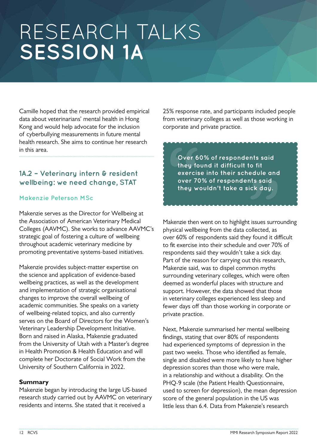Camille hoped that the research provided empirical data about veterinarians' mental health in Hong Kong and would help advocate for the inclusion of cyberbullying measurements in future mental health research. She aims to continue her research in this area.

# **1A.2 – Veterinary intern & resident wellbeing: we need change, STAT**

### **Makenzie Peterson MSc**

Makenzie serves as the Director for Wellbeing at the Association of American Veterinary Medical Colleges (AAVMC). She works to advance AAVMC's strategic goal of fostering a culture of wellbeing throughout academic veterinary medicine by promoting preventative systems-based initiatives.

Makenzie provides subject-matter expertise on the science and application of evidence-based wellbeing practices, as well as the development and implementation of strategic organisational changes to improve the overall wellbeing of academic communities. She speaks on a variety of wellbeing-related topics, and also currently serves on the Board of Directors for the Women's Veterinary Leadership Development Initiative. Born and raised in Alaska, Makenzie graduated from the University of Utah with a Master's degree in Health Promotion & Health Education and will complete her Doctorate of Social Work from the University of Southern California in 2022.

### **Summary**

Makenzie began by introducing the large US-based research study carried out by AAVMC on veterinary residents and interns. She stated that it received a

25% response rate, and participants included people from veterinary colleges as well as those working in corporate and private practice.

**"** over<br>
over<br>
they<br>
exer<br>
over<br>
they<br>
andos and **Over 60% of respondents said they found it difficult to fit exercise into their schedule and over 70% of respondents said they wouldn't take a sick day.**

Makenzie then went on to highlight issues surrounding physical wellbeing from the data collected, as over 60% of respondents said they found it difficult to fit exercise into their schedule and over 70% of respondents said they wouldn't take a sick day. Part of the reason for carrying out this research, Makenzie said, was to dispel common myths surrounding veterinary colleges, which were often deemed as wonderful places with structure and support. However, the data showed that those in veterinary colleges experienced less sleep and fewer days off than those working in corporate or private practice.

Next, Makenzie summarised her mental wellbeing findings, stating that over 80% of respondents had experienced symptoms of depression in the past two weeks. Those who identified as female, single and disabled were more likely to have higher depression scores than those who were male, in a relationship and without a disability. On the PHQ-9 scale (the Patient Health Questionnaire, used to screen for depression), the mean depression score of the general population in the US was little less than 6.4. Data from Makenzie's research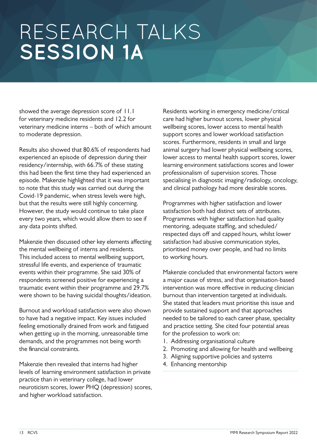showed the average depression score of 11.1 for veterinary medicine residents and 12.2 for veterinary medicine interns – both of which amount to moderate depression.

Results also showed that 80.6% of respondents had experienced an episode of depression during their residency/internship, with 66.7% of these stating this had been the first time they had experienced an episode. Makenzie highlighted that it was important to note that this study was carried out during the Covid-19 pandemic, when stress levels were high, but that the results were still highly concerning. However, the study would continue to take place every two years, which would allow them to see if any data points shifted.

Makenzie then discussed other key elements affecting the mental wellbeing of interns and residents. This included access to mental wellbeing support, stressful life events, and experience of traumatic events within their programme. She said 30% of respondents screened positive for experiencing a traumatic event within their programme and 29.7% were shown to be having suicidal thoughts/ideation.

Burnout and workload satisfaction were also shown to have had a negative impact. Key issues included feeling emotionally drained from work and fatigued when getting up in the morning, unreasonable time demands, and the programmes not being worth the financial constraints.

Makenzie then revealed that interns had higher levels of learning environment satisfaction in private practice than in veterinary college, had lower neuroticism scores, lower PHQ (depression) scores, and higher workload satisfaction.

Residents working in emergency medicine/critical care had higher burnout scores, lower physical wellbeing scores, lower access to mental health support scores and lower workload satisfaction scores. Furthermore, residents in small and large animal surgery had lower physical wellbeing scores, lower access to mental health support scores, lower learning environment satisfactions scores and lower professionalism of supervision scores. Those specialising in diagnostic imaging/radiology, oncology, and clinical pathology had more desirable scores.

Programmes with higher satisfaction and lower satisfaction both had distinct sets of attributes. Programmes with higher satisfaction had quality mentoring, adequate staffing, and scheduled/ respected days off and capped hours, whilst lower satisfaction had abusive communication styles, prioritised money over people, and had no limits to working hours.

Makenzie concluded that environmental factors were a major cause of stress, and that organisation-based intervention was more effective in reducing clinician burnout than intervention targeted at individuals. She stated that leaders must prioritise this issue and provide sustained support and that approaches needed to be tailored to each career phase, speciality and practice setting. She cited four potential areas for the profession to work on:

- 1. Addressing organisational culture
- 2. Promoting and allowing for health and wellbeing
- 3. Aligning supportive policies and systems
- 4. Enhancing mentorship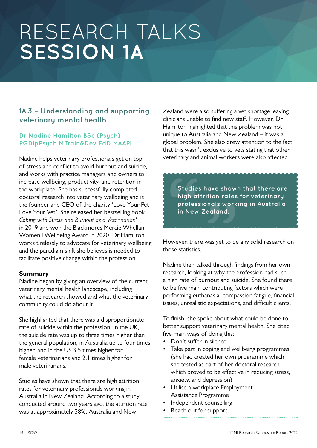# **1A.3 – Understanding and supporting veterinary mental health**

### **Dr Nadine Hamilton BSc (Psych) PGDipPsych MTrain&Dev EdD MAAPi**

Nadine helps veterinary professionals get on top of stress and conflict to avoid burnout and suicide, and works with practice managers and owners to increase wellbeing, productivity, and retention in the workplace. She has successfully completed doctoral research into veterinary wellbeing and is the founder and CEO of the charity 'Love Your Pet Love Your Vet'. She released her bestselling book *Coping with Stress and Burnout as a Veterinarian*' in 2019 and won the Blackmores Mercie Whellan Women+Wellbeing Award in 2020. Dr Hamilton works tirelessly to advocate for veterinary wellbeing and the paradigm shift she believes is needed to facilitate positive change within the profession.

### **Summary**

Nadine began by giving an overview of the current veterinary mental health landscape, including what the research showed and what the veterinary community could do about it.

She highlighted that there was a disproportionate rate of suicide within the profession. In the UK, the suicide rate was up to three times higher than the general population, in Australia up to four times higher, and in the US 3.5 times higher for female veterinarians and 2.1 times higher for male veterinarians.

Studies have shown that there are high attrition rates for veterinary professionals working in Australia in New Zealand. According to a study conducted around two years ago, the attrition rate was at approximately 38%. Australia and New

Zealand were also suffering a vet shortage leaving clinicians unable to find new staff. However, Dr Hamilton highlighted that this problem was not unique to Australia and New Zealand – it was a global problem. She also drew attention to the fact that this wasn't exclusive to vets stating that other veterinary and animal workers were also affected.

ave shown<br>tion rates<br>nals worki<br>ealand. **"** Stud<br>high<br>profe<br>in Ne<br>**ARAAAA Studies have shown that there are high attrition rates for veterinary professionals working in Australia in New Zealand.**

However, there was yet to be any solid research on those statistics.

Nadine then talked through findings from her own research, looking at why the profession had such a high rate of burnout and suicide. She found there to be five main contributing factors which were performing euthanasia, compassion fatigue, financial issues, unrealistic expectations, and difficult clients.

To finish, she spoke about what could be done to better support veterinary mental health. She cited five main ways of doing this:

- Don't suffer in silence
- Take part in coping and wellbeing programmes (she had created her own programme which she tested as part of her doctoral research which proved to be effective in reducing stress, anxiety, and depression)
- Utilise a workplace Employment Assistance Programme
- Independent counselling
- Reach out for support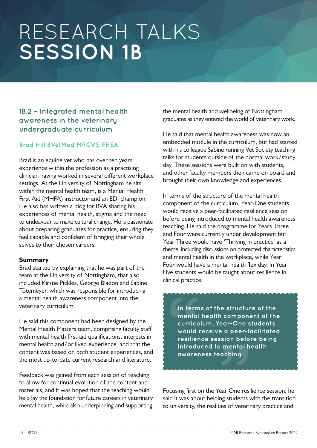# **1B.2 – Integrated mental health awareness in the veterinary undergraduate curriculum**

### **Brad Hill BVetMed MRCVS FHEA**

Brad is an equine vet who has over ten years' experience within the profession as a practising clinician having worked in several different workplace settings. At the University of Nottingham he sits within the mental health team, is a Mental Health First Aid (MHFA) instructor and an EDI champion. He also has written a blog for BVA sharing his experiences of mental health, stigma and the need to endeavour to make cultural change. He is passionate about preparing graduates for practice, ensuring they feel capable and confident of bringing their whole selves to their chosen careers.

#### **Summary**

Brad started by explaining that he was part of the team at the University of Nottingham, that also included Kirstie Pickles, George Bladon and Sabine Tötemeyer, which was responsible for introducing a mental health awareness component into the veterinary curriculum.

He said this component had been designed by the Mental Health Matters team, comprising faculty staff with mental health first-aid qualifications, interests in mental health and/or lived experience, and that the content was based on both student experiences, and the most up-to-date current research and literature.

Feedback was gained from each session of teaching to allow for continual evolution of the content and materials, and it was hoped that the teaching would help lay the foundation for future careers in veterinary mental health, while also underpinning and supporting

the mental health and wellbeing of Nottingham graduates as they entered the world of veterinary work.

He said that mental health awareness was now an embedded module in the curriculum, but had started with his colleague Sabine running Vet Society teaching talks for students outside of the normal work/study day. These sessions were built on with students, and other faculty members then came on board and brought their own knowledge and experiences.

In terms of the structure of the mental health component of the curriculum, Year-One students would receive a peer-facilitated resilience session before being introduced to mental health awareness teaching. He said the programme for Years Three and Four were currently under development but Year Three would have 'Thriving in practice' as a theme, including discussions on protected characteristics and mental health in the workplace, while Year Four would have a mental health flex day. In Year Five students would be taught about resilience in clinical practice.

curriculum, Year-One students<br>
would receive a peer-facilitate<br>
resilience session before being<br>
introduced to mental health<br>
awareness teaching. In te<br>
In te<br>
curri<br>
curri<br>
voul<br>
resili<br>
intro<br>
awar **In terms of the structure of the mental health component of the would receive a peer-facilitated resilience session before being introduced to mental health awareness teaching.**

Focusing first on the Year One resilience session, he said it was about helping students with the transition to university, the realities of veterinary practice and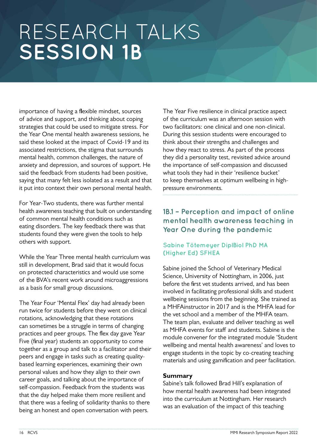importance of having a flexible mindset, sources of advice and support, and thinking about coping strategies that could be used to mitigate stress. For the Year One mental health awareness sessions, he said these looked at the impact of Covid-19 and its associated restrictions, the stigma that surrounds mental health, common challenges, the nature of anxiety and depression, and sources of support. He said the feedback from students had been positive, saying that many felt less isolated as a result and that it put into context their own personal mental health.

For Year-Two students, there was further mental health awareness teaching that built on understanding of common mental health conditions such as eating disorders. The key feedback there was that students found they were given the tools to help others with support.

While the Year Three mental health curriculum was still in development, Brad said that it would focus on protected characteristics and would use some of the BVA's recent work around microaggressions as a basis for small group discussions.

The Year Four 'Mental Flex' day had already been run twice for students before they went on clinical rotations, acknowledging that these rotations can sometimes be a struggle in terms of changing practices and peer groups. The flex day gave Year Five (final year) students an opportunity to come together as a group and talk to a facilitator and their peers and engage in tasks such as creating qualitybased learning experiences, examining their own personal values and how they align to their own career goals, and talking about the importance of self-compassion. Feedback from the students was that the day helped make them more resilient and that there was a feeling of solidarity thanks to there being an honest and open conversation with peers.

The Year Five resilience in clinical practice aspect of the curriculum was an afternoon session with two facilitators: one clinical and one non-clinical. During this session students were encouraged to think about their strengths and challenges and how they react to stress. As part of the process they did a personality test, revisited advice around the importance of self-compassion and discussed what tools they had in their 'resilience bucket' to keep themselves at optimum wellbeing in highpressure environments.

## **1B.1 – Perception and impact of online mental health awareness teaching in Year One during the pandemic**

### **Sabine Tötemeyer DiplBiol PhD MA (Higher Ed) SFHEA**

Sabine joined the School of Veterinary Medical Science, University of Nottingham, in 2006, just before the first vet students arrived, and has been involved in facilitating professional skills and student wellbeing sessions from the beginning. She trained as a MHFAinstructor in 2017 and is the MHFA lead for the vet school and a member of the MHFA team. The team plan, evaluate and deliver teaching as well as MHFA events for staff and students. Sabine is the module convener for the integrated module 'Student wellbeing and mental health awareness' and loves to engage students in the topic by co-creating teaching materials and using gamification and peer facilitation.

### **Summary**

Sabine's talk followed Brad Hill's explanation of how mental health awareness had been integrated into the curriculum at Nottingham. Her research was an evaluation of the impact of this teaching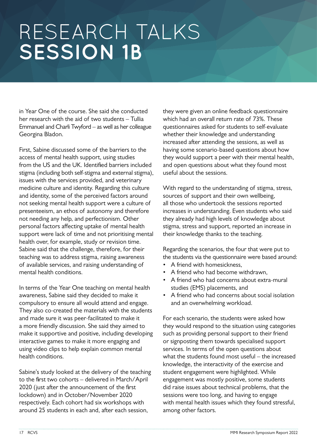in Year One of the course. She said she conducted her research with the aid of two students – Tullia Emmanuel and Charli Twyford – as well as her colleague Georgina Bladon.

First, Sabine discussed some of the barriers to the access of mental health support, using studies from the US and the UK. Identified barriers included stigma (including both self-stigma and external stigma), issues with the services provided, and veterinary medicine culture and identity. Regarding this culture and identity, some of the perceived factors around not seeking mental health support were a culture of presenteeism, an ethos of autonomy and therefore not needing any help, and perfectionism. Other personal factors affecting uptake of mental health support were lack of time and not prioritising mental health over, for example, study or revision time. Sabine said that the challenge, therefore, for their teaching was to address stigma, raising awareness of available services, and raising understanding of mental health conditions.

In terms of the Year One teaching on mental health awareness, Sabine said they decided to make it compulsory to ensure all would attend and engage. They also co-created the materials with the students and made sure it was peer-facilitated to make it a more friendly discussion. She said they aimed to make it supportive and positive, including developing interactive games to make it more engaging and using video clips to help explain common mental health conditions.

Sabine's study looked at the delivery of the teaching to the first two cohorts – delivered in March/April 2020 (just after the announcement of the first lockdown) and in October/November 2020 respectively. Each cohort had six workshops with around 25 students in each and, after each session,

they were given an online feedback questionnaire which had an overall return rate of 73%. These questionnaires asked for students to self-evaluate whether their knowledge and understanding increased after attending the sessions, as well as having some scenario-based questions about how they would support a peer with their mental health, and open questions about what they found most useful about the sessions.

With regard to the understanding of stigma, stress, sources of support and their own wellbeing, all those who undertook the sessions reported increases in understanding. Even students who said they already had high levels of knowledge about stigma, stress and support, reported an increase in their knowledge thanks to the teaching.

Regarding the scenarios, the four that were put to the students via the questionnaire were based around:

- A friend with homesickness,
- A friend who had become withdrawn,
- A friend who had concerns about extra-mural studies (EMS) placements, and
- A friend who had concerns about social isolation and an overwhelming workload.

For each scenario, the students were asked how they would respond to the situation using categories such as providing personal support to their friend or signposting them towards specialised support services. In terms of the open questions about what the students found most useful – the increased knowledge, the interactivity of the exercise and student engagement were highlighted. While engagement was mostly positive, some students did raise issues about technical problems, that the sessions were too long, and having to engage with mental health issues which they found stressful, among other factors.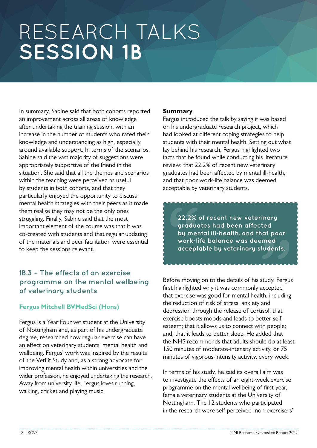In summary, Sabine said that both cohorts reported an improvement across all areas of knowledge after undertaking the training session, with an increase in the number of students who rated their knowledge and understanding as high, especially around available support. In terms of the scenarios, Sabine said the vast majority of suggestions were appropriately supportive of the friend in the situation. She said that all the themes and scenarios within the teaching were perceived as useful by students in both cohorts, and that they particularly enjoyed the opportunity to discuss mental health strategies with their peers as it made them realise they may not be the only ones struggling. Finally, Sabine said that the most important element of the course was that it was co-created with students and that regular updating of the materials and peer facilitation were essential to keep the sessions relevant.

# **1B.3 – The effects of an exercise programme on the mental wellbeing of veterinary students**

### **Fergus Mitchell BVMedSci (Hons)**

Fergus is a Year Four vet student at the University of Nottingham and, as part of his undergraduate degree, researched how regular exercise can have an effect on veterinary students' mental health and wellbeing. Fergus' work was inspired by the results of the VetFit Study and, as a strong advocate for improving mental health within universities and the wider profession, he enjoyed undertaking the research. Away from university life, Fergus loves running, walking, cricket and playing music.

#### **Summary**

Fergus introduced the talk by saying it was based on his undergraduate research project, which had looked at different coping strategies to help students with their mental health. Setting out what lay behind his research, Fergus highlighted two facts that he found while conducting his literature review: that 22.2% of recent new veterinary graduates had been affected by mental ill-health, and that poor work-life balance was deemed acceptable by veterinary students.

inary<br>ted<br>at poor<br>med<br>:udents.<br>\* **22.2°**<br>grad<br>by m<br>work<br>acce<br>acce **22.2% of recent new veterinary graduates had been affected by mental ill-health, and that poor work-life balance was deemed acceptable by veterinary students.**

Before moving on to the details of his study, Fergus first highlighted why it was commonly accepted that exercise was good for mental health, including the reduction of risk of stress, anxiety and depression through the release of cortisol; that exercise boosts moods and leads to better selfesteem; that it allows us to connect with people; and, that it leads to better sleep. He added that the NHS recommends that adults should do at least 150 minutes of moderate-intensity activity, or 75 minutes of vigorous-intensity activity, every week.

In terms of his study, he said its overall aim was to investigate the effects of an eight-week exercise programme on the mental wellbeing of first-year, female veterinary students at the University of Nottingham. The 12 students who participated in the research were self-perceived 'non-exercisers'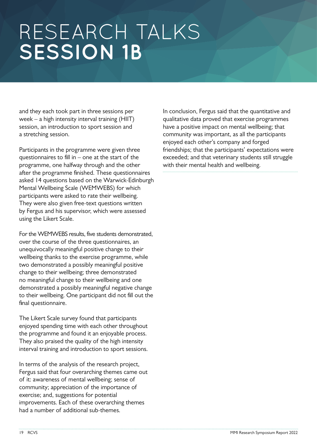and they each took part in three sessions per week – a high intensity interval training (HIIT) session, an introduction to sport session and a stretching session.

Participants in the programme were given three questionnaires to fill in  $-$  one at the start of the programme, one halfway through and the other after the programme finished. These questionnaires asked 14 questions based on the Warwick-Edinburgh Mental Wellbeing Scale (WEMWEBS) for which participants were asked to rate their wellbeing. They were also given free-text questions written by Fergus and his supervisor, which were assessed using the Likert Scale.

For the WEMWEBS results, five students demonstrated, over the course of the three questionnaires, an unequivocally meaningful positive change to their wellbeing thanks to the exercise programme, while two demonstrated a possibly meaningful positive change to their wellbeing; three demonstrated no meaningful change to their wellbeing and one demonstrated a possibly meaningful negative change to their wellbeing. One participant did not fill out the final questionnaire.

The Likert Scale survey found that participants enjoyed spending time with each other throughout the programme and found it an enjoyable process. They also praised the quality of the high intensity interval training and introduction to sport sessions.

In terms of the analysis of the research project, Fergus said that four overarching themes came out of it: awareness of mental wellbeing; sense of community; appreciation of the importance of exercise; and, suggestions for potential improvements. Each of these overarching themes had a number of additional sub-themes.

In conclusion, Fergus said that the quantitative and qualitative data proved that exercise programmes have a positive impact on mental wellbeing; that community was important, as all the participants enjoyed each other's company and forged friendships; that the participants' expectations were exceeded; and that veterinary students still struggle with their mental health and wellbeing.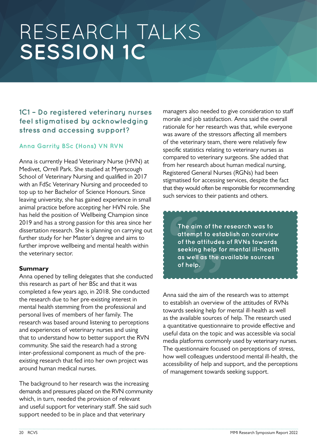# **1C1 – Do registered veterinary nurses feel stigmatised by acknowledging stress and accessing support?**

### **Anna Garrity BSc (Hons) VN RVN**

Anna is currently Head Veterinary Nurse (HVN) at Medivet, Orrell Park. She studied at Myerscough School of Veterinary Nursing and qualified in 2017 with an FdSc Veterinary Nursing and proceeded to top up to her Bachelor of Science Honours. Since leaving university, she has gained experience in small animal practice before accepting her HVN role. She has held the position of Wellbeing Champion since 2019 and has a strong passion for this area since her dissertation research. She is planning on carrying out further study for her Master's degree and aims to further improve wellbeing and mental health within the veterinary sector.

### **Summary**

Anna opened by telling delegates that she conducted this research as part of her BSc and that it was completed a few years ago, in 2018. She conducted the research due to her pre-existing interest in mental health stemming from the professional and personal lives of members of her family. The research was based around listening to perceptions and experiences of veterinary nurses and using that to understand how to better support the RVN community. She said the research had a strong inter-professional component as much of the preexisting research that fed into her own project was around human medical nurses.

The background to her research was the increasing demands and pressures placed on the RVN community which, in turn, needed the provision of relevant and useful support for veterinary staff. She said such support needed to be in place and that veterinary

managers also needed to give consideration to staff morale and job satisfaction. Anna said the overall rationale for her research was that, while everyone was aware of the stressors affecting all members of the veterinary team, there were relatively few specific statistics relating to veterinary nurses as compared to veterinary surgeons. She added that from her research about human medical nursing, Registered General Nurses (RGNs) had been stigmatised for accessing services, despite the fact that they would often be responsible for recommending such services to their patients and others.

**num of the r**<br> **npt to esta**<br> **e** attitudes<br> **ng help for<br>
ell as the av**<br> **lp.** The contract of the seek<br>as we<br>of the seek<br>of he **The aim of the research was to attempt to establish an overview of the attitudes of RVNs towards seeking help for mental ill-health as well as the available sources of help.**

Anna said the aim of the research was to attempt to establish an overview of the attitudes of RVNs towards seeking help for mental ill-health as well as the available sources of help. The research used a quantitative questionnaire to provide effective and useful data on the topic and was accessible via social media platforms commonly used by veterinary nurses. The questionnaire focused on perceptions of stress, how well colleagues understood mental ill-health, the accessibility of help and support, and the perceptions of management towards seeking support.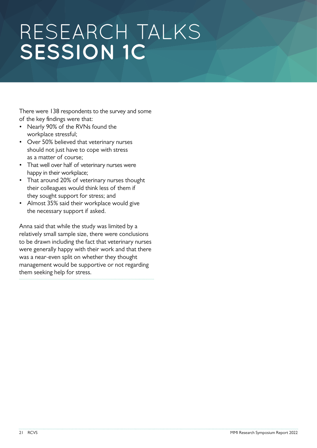There were 138 respondents to the survey and some of the key findings were that:

- Nearly 90% of the RVNs found the workplace stressful;
- Over 50% believed that veterinary nurses should not just have to cope with stress as a matter of course;
- That well over half of veterinary nurses were happy in their workplace;
- That around 20% of veterinary nurses thought their colleagues would think less of them if they sought support for stress; and
- Almost 35% said their workplace would give the necessary support if asked.

Anna said that while the study was limited by a relatively small sample size, there were conclusions to be drawn including the fact that veterinary nurses were generally happy with their work and that there was a near-even split on whether they thought management would be supportive or not regarding them seeking help for stress.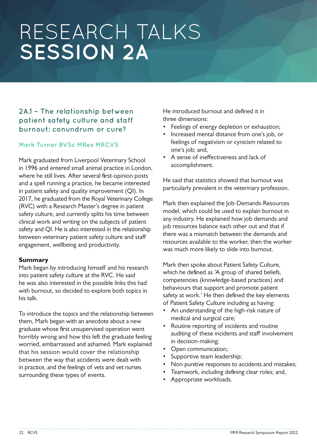## **2A.1 – The relationship between patient safety culture and staff burnout: conundrum or cure?**

### **Mark Turner BVSc MRes MRCVS**

Mark graduated from Liverpool Veterinary School in 1996 and entered small animal practice in London, where he still lives. After several first-opinion posts and a spell running a practice, he became interested in patient safety and quality improvement (QI). In 2017, he graduated from the Royal Veterinary College (RVC) with a Research Master's degree in patient safety culture, and currently splits his time between clinical work and writing on the subjects of patient safety and QI. He is also interested in the relationship between veterinary patient safety culture and staff engagement, wellbeing and productivity.

#### **Summary**

Mark began by introducing himself and his research into patient safety culture at the RVC. He said he was also interested in the possible links this had with burnout, so decided to explore both topics in his talk.

To introduce the topics and the relationship between them, Mark began with an anecdote about a new graduate whose first unsupervised operation went horribly wrong and how this left the graduate feeling worried, embarrassed and ashamed. Mark explained that his session would cover the relationship between the way that accidents were dealt with in practice, and the feelings of vets and vet nurses surrounding these types of events.

He introduced burnout and defined it in three dimensions:

- Feelings of energy depletion or exhaustion;
- Increased mental distance from one's job, or feelings of negativism or cynicism related to one's job; and,
- A sense of ineffectiveness and lack of accomplishment.

He said that statistics showed that burnout was particularly prevalent in the veterinary profession.

Mark then explained the Job-Demands-Resources model, which could be used to explain burnout in any industry. He explained how job demands and job resources balance each other out and that if there was a mismatch between the demands and resources available to the worker, then the worker was much more likely to slide into burnout.

Mark then spoke about Patient Safety Culture, which he defined as 'A group of shared beliefs, competencies (knowledge-based practices) and behaviours that support and promote patient safety at work.' He then defined the key elements of Patient Safety Culture including as having:

- An understanding of the high-risk nature of medical and surgical care;
- Routine reporting of incidents and routine auditing of these incidents and staff involvement in decision-making;
- Open communication;
- Supportive team leadership;
- Non-punitive responses to accidents and mistakes;
- Teamwork, including defining clear roles; and,
- Appropriate workloads.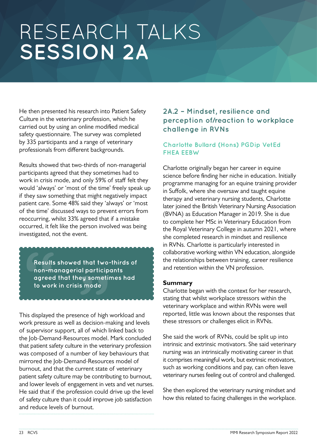He then presented his research into Patient Safety Culture in the veterinary profession, which he carried out by using an online modified medical safety questionnaire. The survey was completed by 335 participants and a range of veterinary professionals from different backgrounds.

Results showed that two-thirds of non-managerial participants agreed that they sometimes had to work in crisis mode, and only 59% of staff felt they would 'always' or 'most of the time' freely speak up if they saw something that might negatively impact patient care. Some 48% said they 'always' or 'most of the time' discussed ways to prevent errors from reoccurring, whilst 33% agreed that if a mistake occurred, it felt like the person involved was being investigated, not the event.

**That two-1**<br>Il participa<br>Py sometin<br>S mode **Resurred**<br>**Resurred**<br>**agre**<br>**to we**<br> **Results showed that two-thirds of non-managerial participants agreed that they sometimes had to work in crisis mode**

This displayed the presence of high workload and work pressure as well as decision-making and levels of supervisor support, all of which linked back to the Job-Demand-Resources model. Mark concluded that patient safety culture in the veterinary profession was composed of a number of key behaviours that mirrored the Job-Demand-Resources model of burnout, and that the current state of veterinary patient safety culture may be contributing to burnout, and lower levels of engagement in vets and vet nurses. He said that if the profession could drive up the level of safety culture than it could improve job satisfaction and reduce levels of burnout.

### **2A.2 – Mindset, resilience and perception of/reaction to workplace challenge in RVNs**

### **Charlotte Bullard (Hons) PGDip VetEd FHEA EEBW**

Charlotte originally began her career in equine science before finding her niche in education. Initially programme managing for an equine training provider in Suffolk, where she oversaw and taught equine therapy and veterinary nursing students, Charlotte later joined the British Veterinary Nursing Association (BVNA) as Education Manager in 2019. She is due to complete her MSc in Veterinary Education from the Royal Veterinary College in autumn 2021, where she completed research in mindset and resilience in RVNs. Charlotte is particularly interested in collaborative working within VN education, alongside the relationships between training, career resilience and retention within the VN profession.

### **Summary**

Charlotte began with the context for her research, stating that whilst workplace stressors within the veterinary workplace and within RVNs were well reported, little was known about the responses that these stressors or challenges elicit in RVNs.

She said the work of RVNs, could be split up into intrinsic and extrinsic motivators. She said veterinary nursing was an intrinsically motivating career in that it comprises meaningful work, but extrinsic motivators, such as working conditions and pay, can often leave veterinary nurses feeling out of control and challenged.

She then explored the veterinary nursing mindset and how this related to facing challenges in the workplace.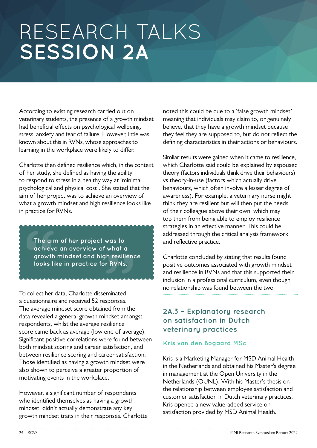According to existing research carried out on veterinary students, the presence of a growth mindset had beneficial effects on psychological wellbeing, stress, anxiety and fear of failure. However, little was known about this in RVNs, whose approaches to learning in the workplace were likely to differ.

Charlotte then defined resilience which, in the context of her study, she defined as having the ability to respond to stress in a healthy way at 'minimal psychological and physical cost'. She stated that the aim of her project was to achieve an overview of what a growth mindset and high resilience looks like in practice for RVNs.

was to<br>what a<br>h resilience<br>r RVNs. The computer<br>
The computer<br>
grow<br>
looks<br> **ARAAAAA The aim of her project was to achieve an overview of what a growth mindset and high resilience looks like in practice for RVNs.**

To collect her data, Charlotte disseminated a questionnaire and received 52 responses. The average mindset score obtained from the data revealed a general growth mindset amongst respondents, whilst the average resilience score came back as average (low end of average). Significant positive correlations were found between both mindset scoring and career satisfaction, and between resilience scoring and career satisfaction. Those identified as having a growth mindset were also shown to perceive a greater proportion of motivating events in the workplace.

However, a significant number of respondents who identified themselves as having a growth mindset, didn't actually demonstrate any key growth mindset traits in their responses. Charlotte noted this could be due to a 'false growth mindset' meaning that individuals may claim to, or genuinely believe, that they have a growth mindset because they feel they are supposed to, but do not reflect the defining characteristics in their actions or behaviours.

Similar results were gained when it came to resilience, which Charlotte said could be explained by espoused theory (factors individuals think drive their behaviours) vs theory-in-use (factors which actually drive behaviours, which often involve a lesser degree of awareness). For example, a veterinary nurse might think they are resilient but will then put the needs of their colleague above their own, which may top them from being able to employ resilience strategies in an effective manner. This could be addressed through the critical analysis framework and reflective practice.

Charlotte concluded by stating that results found positive outcomes associated with growth mindset and resilience in RVNs and that this supported their inclusion in a professional curriculum, even though no relationship was found between the two.

# **2A.3 – Explanatory research on satisfaction in Dutch veterinary practices**

### **Kris van den Bogaard MSc**

Kris is a Marketing Manager for MSD Animal Health in the Netherlands and obtained his Master's degree in management at the Open University in the Netherlands (OUNL). With his Master's thesis on the relationship between employee satisfaction and customer satisfaction in Dutch veterinary practices, Kris opened a new value-added service on satisfaction provided by MSD Animal Health.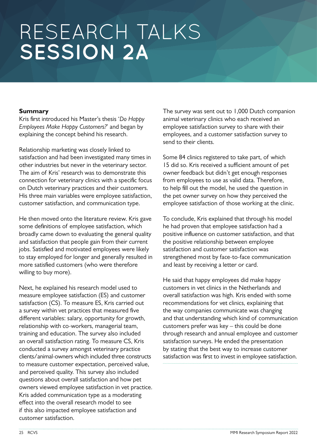### **Summary**

Kris first introduced his Master's thesis '*Do Happy Employees Make Happy Customers?*' and began by explaining the concept behind his research.

Relationship marketing was closely linked to satisfaction and had been investigated many times in other industries but never in the veterinary sector. The aim of Kris' research was to demonstrate this connection for veterinary clinics with a specific focus on Dutch veterinary practices and their customers. His three main variables were employee satisfaction, customer satisfaction, and communication type.

He then moved onto the literature review. Kris gave some definitions of employee satisfaction, which broadly came down to evaluating the general quality and satisfaction that people gain from their current jobs. Satisfied and motivated employees were likely to stay employed for longer and generally resulted in more satisfied customers (who were therefore willing to buy more).

Next, he explained his research model used to measure employee satisfaction (ES) and customer satisfaction (CS). To measure ES, Kris carried out a survey within vet practices that measured five different variables: salary, opportunity for growth, relationship with co-workers, managerial team, training and education. The survey also included an overall satisfaction rating. To measure CS, Kris conducted a survey amongst veterinary practice clients/animal-owners which included three constructs to measure customer expectation, perceived value, and perceived quality. This survey also included questions about overall satisfaction and how pet owners viewed employee satisfaction in vet practice. Kris added communication type as a moderating effect into the overall research model to see if this also impacted employee satisfaction and customer satisfaction.

The survey was sent out to 1,000 Dutch companion animal veterinary clinics who each received an employee satisfaction survey to share with their employees, and a customer satisfaction survey to send to their clients.

Some 84 clinics registered to take part, of which 15 did so. Kris received a sufficient amount of pet owner feedback but didn't get enough responses from employees to use as valid data. Therefore, to help fill out the model, he used the question in the pet owner survey on how they perceived the employee satisfaction of those working at the clinic.

To conclude, Kris explained that through his model he had proven that employee satisfaction had a positive influence on customer satisfaction, and that the positive relationship between employee satisfaction and customer satisfaction was strengthened most by face-to-face communication and least by receiving a letter or card.

He said that happy employees did make happy customers in vet clinics in the Netherlands and overall satisfaction was high. Kris ended with some recommendations for vet clinics, explaining that the way companies communicate was changing and that understanding which kind of communication customers prefer was key – this could be done through research and annual employee and customer satisfaction surveys. He ended the presentation by stating that the best way to increase customer satisfaction was first to invest in employee satisfaction.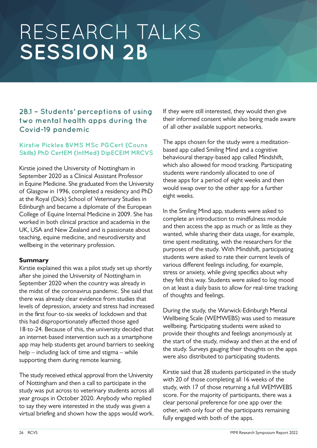# **2B.1 – Students' perceptions of using two mental health apps during the Covid-19 pandemic**

### **Kirstie Pickles BVMS MSc PGCert (Couns Skills) PhD CertEM (IntMed) DipECEIM MRCVS**

Kirstie joined the University of Nottingham in September 2020 as a Clinical Assistant Professor in Equine Medicine. She graduated from the University of Glasgow in 1996, completed a residency and PhD at the Royal (Dick) School of Veterinary Studies in Edinburgh and became a diplomate of the European College of Equine Internal Medicine in 2009. She has worked in both clinical practice and academia in the UK, USA and New Zealand and is passionate about teaching, equine medicine, and neurodiversity and wellbeing in the veterinary profession.

### **Summary**

Kirstie explained this was a pilot study set up shortly after she joined the University of Nottingham in September 2020 when the country was already in the midst of the coronavirus pandemic. She said that there was already clear evidence from studies that levels of depression, anxiety and stress had increased in the first four-to-six weeks of lockdown and that this had disproportionately affected those aged 18-to-24. Because of this, the university decided that an internet-based intervention such as a smartphone app may help students get around barriers to seeking help – including lack of time and stigma – while supporting them during remote learning.

The study received ethical approval from the University of Nottingham and then a call to participate in the study was put across to veterinary students across all year groups in October 2020. Anybody who replied to say they were interested in the study was given a virtual briefing and shown how the apps would work.

If they were still interested, they would then give their informed consent while also being made aware of all other available support networks.

The apps chosen for the study were a meditationbased app called Smiling Mind and a cognitive behavioural therapy-based app called Mindshift, which also allowed for mood tracking. Participating students were randomly allocated to one of these apps for a period of eight weeks and then would swap over to the other app for a further eight weeks.

In the Smiling Mind app, students were asked to complete an introduction to mindfulness module and then access the app as much or as little as they wanted, while sharing their data usage, for example, time spent meditating, with the researchers for the purposes of the study. With Mindshift, participating students were asked to rate their current levels of various different feelings including, for example, stress or anxiety, while giving specifics about why they felt this way. Students were asked to log mood on at least a daily basis to allow for real-time tracking of thoughts and feelings.

During the study, the Warwick-Edinburgh Mental Wellbeing Scale (WEMWEBS) was used to measure wellbeing. Participating students were asked to provide their thoughts and feelings anonymously at the start of the study, midway and then at the end of the study. Surveys gauging their thoughts on the apps were also distributed to participating students.

Kirstie said that 28 students participated in the study with 20 of those completing all 16 weeks of the study, with 17 of those returning a full WEMWEBS score. For the majority of participants, there was a clear personal preference for one app over the other, with only four of the participants remaining fully engaged with both of the apps.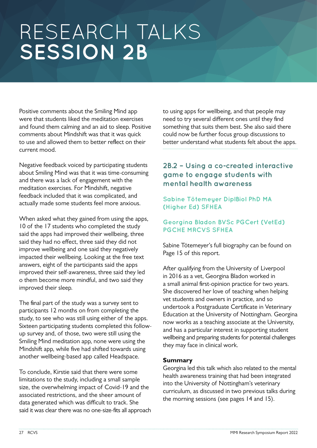Positive comments about the Smiling Mind app were that students liked the meditation exercises and found them calming and an aid to sleep. Positive comments about Mindshift was that it was quick to use and allowed them to better reflect on their current mood.

Negative feedback voiced by participating students about Smiling Mind was that it was time-consuming and there was a lack of engagement with the meditation exercises. For Mindshift, negative feedback included that it was complicated, and actually made some students feel more anxious.

When asked what they gained from using the apps, 10 of the 17 students who completed the study said the apps had improved their wellbeing, three said they had no effect, three said they did not improve wellbeing and one said they negatively impacted their wellbeing. Looking at the free text answers, eight of the participants said the apps improved their self-awareness, three said they led o them become more mindful, and two said they improved their sleep.

The final part of the study was a survey sent to participants 12 months on from completing the study, to see who was still using either of the apps. Sixteen participating students completed this followup survey and, of those, two were still using the Smiling Mind meditation app, none were using the Mindshift app, while five had shifted towards using another wellbeing-based app called Headspace.

To conclude, Kirstie said that there were some limitations to the study, including a small sample size, the overwhelming impact of Covid-19 and the associated restrictions, and the sheer amount of data generated which was difficult to track. She said it was clear there was no one-size-fits all approach to using apps for wellbeing, and that people may need to try several different ones until they find something that suits them best. She also said there could now be further focus group discussions to better understand what students felt about the apps.

# **2B.2 – Using a co-created interactive game to engage students with mental health awareness**

### **Sabine Tötemeyer DiplBiol PhD MA (Higher Ed) SFHEA**

### **Georgina Bladon BVSc PGCert (VetEd) PGCHE MRCVS SFHEA**

Sabine Tötemeyer's full biography can be found on Page 15 of this report.

After qualifying from the University of Liverpool in 2016 as a vet, Georgina Bladon worked in a small animal first-opinion practice for two years. She discovered her love of teaching when helping vet students and owners in practice, and so undertook a Postgraduate Certificate in Veterinary Education at the University of Nottingham. Georgina now works as a teaching associate at the University, and has a particular interest in supporting student wellbeing and preparing students for potential challenges they may face in clinical work.

### **Summary**

Georgina led this talk which also related to the mental health awareness training that had been integrated into the University of Nottingham's veterinary curriculum, as discussed in two previous talks during the morning sessions (see pages 14 and 15).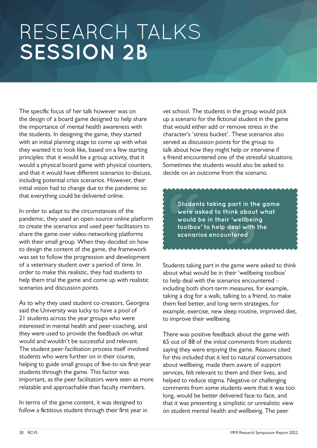The specific focus of her talk however was on the design of a board game designed to help share the importance of mental health awareness with the students. In designing the game, they started with an initial planning stage to come up with what they wanted it to look like, based on a few starting principles: that it would be a group activity, that it would a physical board game with physical counters, and that it would have different scenarios to discuss, including potential crisis scenarios. However, their initial vision had to change due to the pandemic so that everything could be delivered online.

In order to adapt to the circumstances of the pandemic, they used an open-source online platform to create the scenarios and used peer facilitators to share the game over video-networking platforms with their small group. When they decided on how to design the content of the game, the framework was set to follow the progression and development of a veterinary student over a period of time. In order to make this realistic, they had students to help them trial the game and come up with realistic scenarios and discussion points.

As to why they used student co-creators, Georgina said the University was lucky to have a pool of 21 students across the year groups who were interested in mental health and peer-coaching, and they were used to provide the feedback on what would and wouldn't be successful and relevant. The student peer-facilitation process itself involved students who were further on in their course, helping to guide small groups of five-to-six first-year students through the game. This factor was important, as the peer facilitators were seen as more relatable and approachable than faculty members.

In terms of the game content, it was designed to follow a fictitious student through their first year in vet school. The students in the group would pick up a scenario for the fictional student in the game that would either add or remove stress in the character's 'stress bucket'. These scenarios also served as discussion points for the group to talk about how they might help or intervene if a friend encountered one of the stressful situations. Sometimes the students would also be asked to decide on an outcome from the scenario.

Students taking part in the game<br>were asked to think about what<br>would be in their 'wellbeing<br>toolbox' to help deal with the<br>scenarios encountered stud<br>
stud<br>
were<br>
woul<br>
toolb<br>
scen<br>
and and **were asked to think about what would be in their 'wellbeing toolbox' to help deal with the scenarios encountered**

Students taking part in the game were asked to think about what would be in their 'wellbeing toolbox' to help deal with the scenarios encountered – including both short-term measures, for example, taking a dog for a walk, talking to a friend, to make them feel better, and long-term strategies, for example, exercise, new sleep routine, improved diet, to improve their wellbeing.

There was positive feedback about the game with 65 out of 88 of the initial comments from students saying they were enjoying the game. Reasons cited for this included that it led to natural conversations about wellbeing, made them aware of support services, felt relevant to them and their lives, and helped to reduce stigma. Negative or challenging comments from some students were that it was too long, would be better delivered face-to-face, and that it was presenting a simplistic or unrealistic view on student mental health and wellbeing. The peer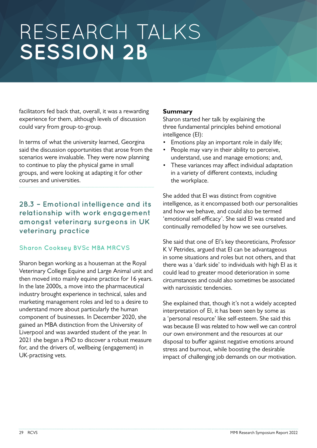facilitators fed back that, overall, it was a rewarding experience for them, although levels of discussion could vary from group-to-group.

In terms of what the university learned, Georgina said the discussion opportunities that arose from the scenarios were invaluable. They were now planning to continue to play the physical game in small groups, and were looking at adapting it for other courses and universities.

# **2B.3 – Emotional intelligence and its relationship with work engagement amongst veterinary surgeons in UK veterinary practice**

## **Sharon Cooksey BVSc MBA MRCVS**

Sharon began working as a houseman at the Royal Veterinary College Equine and Large Animal unit and then moved into mainly equine practice for 16 years. In the late 2000s, a move into the pharmaceutical industry brought experience in technical, sales and marketing management roles and led to a desire to understand more about particularly the human component of businesses. In December 2020, she gained an MBA distinction from the University of Liverpool and was awarded student of the year. In 2021 she began a PhD to discover a robust measure for, and the drivers of, wellbeing (engagement) in UK-practising vets.

### **Summary**

Sharon started her talk by explaining the three fundamental principles behind emotional intelligence (EI):

- Emotions play an important role in daily life;
- People may vary in their ability to perceive, understand, use and manage emotions; and,
- These variances may affect individual adaptation in a variety of different contexts, including the workplace.

She added that EI was distinct from cognitive intelligence, as it encompassed both our personalities and how we behave, and could also be termed 'emotional self-efficacy'. She said EI was created and continually remodelled by how we see ourselves.

She said that one of EI's key theoreticians, Professor K V Petrides, argued that EI can be advantageous in some situations and roles but not others, and that there was a 'dark side' to individuals with high EI as it could lead to greater mood deterioration in some circumstances and could also sometimes be associated with narcissistic tendencies.

She explained that, though it's not a widely accepted interpretation of EI, it has been seen by some as a 'personal resource' like self-esteem. She said this was because EI was related to how well we can control our own environment and the resources at our disposal to buffer against negative emotions around stress and burnout, while boosting the desirable impact of challenging job demands on our motivation.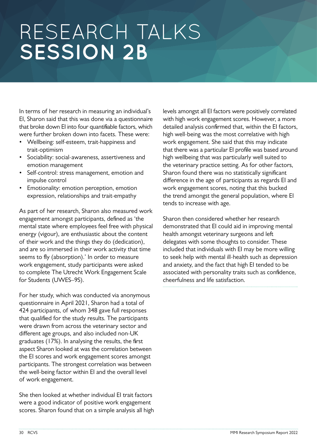In terms of her research in measuring an individual's EI, Sharon said that this was done via a questionnaire that broke down EI into four quantifiable factors, which were further broken down into facets. These were:

- Wellbeing: self-esteem, trait-happiness and trait-optimism
- Sociability: social-awareness, assertiveness and emotion management
- Self-control: stress management, emotion and impulse control
- Emotionality: emotion perception, emotion expression, relationships and trait-empathy

As part of her research, Sharon also measured work engagement amongst participants, defined as 'the mental state where employees feel free with physical energy (vigour), are enthusiastic about the content of their work and the things they do (dedication), and are so immersed in their work activity that time seems to fly (absorption).' In order to measure work engagement, study participants were asked to complete The Utrecht Work Engagement Scale for Students (UWES–9S).

For her study, which was conducted via anonymous questionnaire in April 2021, Sharon had a total of 424 participants, of whom 348 gave full responses that qualified for the study results. The participants were drawn from across the veterinary sector and different age groups, and also included non-UK graduates (17%). In analysing the results, the first aspect Sharon looked at was the correlation between the EI scores and work engagement scores amongst participants. The strongest correlation was between the well-being factor within EI and the overall level of work engagement.

She then looked at whether individual EI trait factors were a good indicator of positive work engagement scores. Sharon found that on a simple analysis all high levels amongst all EI factors were positively correlated with high work engagement scores. However, a more detailed analysis confirmed that, within the EI factors, high well-being was the most correlative with high work engagement. She said that this may indicate that there was a particular EI profile was based around high wellbeing that was particularly well suited to the veterinary practice setting. As for other factors, Sharon found there was no statistically significant difference in the age of participants as regards EI and work engagement scores, noting that this bucked the trend amongst the general population, where EI tends to increase with age.

Sharon then considered whether her research demonstrated that EI could aid in improving mental health amongst veterinary surgeons and left delegates with some thoughts to consider. These included that individuals with EI may be more willing to seek help with mental ill-health such as depression and anxiety, and the fact that high EI tended to be associated with personality traits such as confidence, cheerfulness and life satisfaction.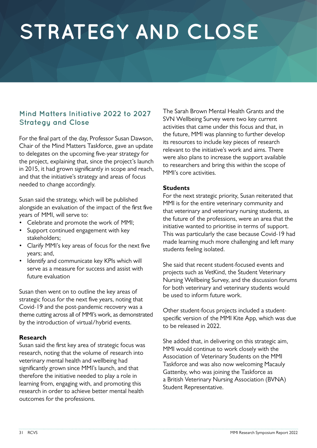# **STRATEGY AND CLOSE**

# **Mind Matters Initiative 2022 to 2027 Strategy and Close**

For the final part of the day, Professor Susan Dawson, Chair of the Mind Matters Taskforce, gave an update to delegates on the upcoming five-year strategy for the project, explaining that, since the project's launch in 2015, it had grown significantly in scope and reach, and that the initiative's strategy and areas of focus needed to change accordingly.

Susan said the strategy, which will be published alongside an evaluation of the impact of the first five years of MMI, will serve to:

- Celebrate and promote the work of MMI;
- Support continued engagement with key stakeholders;
- Clarify MMI's key areas of focus for the next five years; and,
- Identify and communicate key KPIs which will serve as a measure for success and assist with future evaluation

Susan then went on to outline the key areas of strategic focus for the next five years, noting that Covid-19 and the post-pandemic recovery was a theme cutting across all of MMI's work, as demonstrated by the introduction of virtual/hybrid events.

### **Research**

Susan said the first key area of strategic focus was research, noting that the volume of research into veterinary mental health and wellbeing had significantly grown since MMI's launch, and that therefore the initiative needed to play a role in learning from, engaging with, and promoting this research in order to achieve better mental health outcomes for the professions.

The Sarah Brown Mental Health Grants and the SVN Wellbeing Survey were two key current activities that came under this focus and that, in the future, MMI was planning to further develop its resources to include key pieces of research relevant to the initiative's work and aims. There were also plans to increase the support available to researchers and bring this within the scope of MMI's core activities.

#### **Students**

For the next strategic priority, Susan reiterated that MMI is for the entire veterinary community and that veterinary and veterinary nursing students, as the future of the professions, were an area that the initiative wanted to prioritise in terms of support. This was particularly the case because Covid-19 had made learning much more challenging and left many students feeling isolated.

She said that recent student-focused events and projects such as VetKind, the Student Veterinary Nursing Wellbeing Survey, and the discussion forums for both veterinary and veterinary students would be used to inform future work.

Other student-focus projects included a studentspecific version of the MMI Kite App, which was due to be released in 2022.

She added that, in delivering on this strategic aim, MMI would continue to work closely with the Association of Veterinary Students on the MMI Taskforce and was also now welcoming Macauly Gattenby, who was joining the Taskforce as a British Veterinary Nursing Association (BVNA) Student Representative.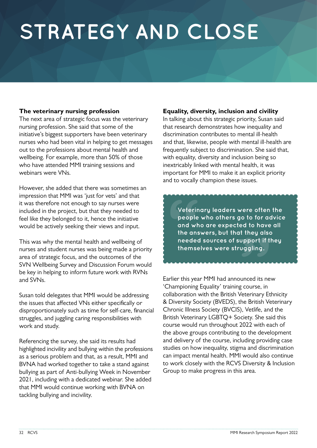# **STRATEGY AND CLOSE**

### **The veterinary nursing profession**

The next area of strategic focus was the veterinary nursing profession. She said that some of the initiative's biggest supporters have been veterinary nurses who had been vital in helping to get messages out to the professions about mental health and wellbeing. For example, more than 50% of those who have attended MMI training sessions and webinars were VNs.

However, she added that there was sometimes an impression that MMI was 'iust for vets' and that it was therefore not enough to say nurses were included in the project, but that they needed to feel like they belonged to it, hence the initiative would be actively seeking their views and input.

This was why the mental health and wellbeing of nurses and student nurses was being made a priority area of strategic focus, and the outcomes of the SVN Wellbeing Survey and Discussion Forum would be key in helping to inform future work with RVNs and SVNs.

Susan told delegates that MMI would be addressing the issues that affected VNs either specifically or disproportionately such as time for self-care, financial struggles, and juggling caring responsibilities with work and study.

Referencing the survey, she said its results had highlighted incivility and bullying within the professions as a serious problem and that, as a result, MMI and BVNA had worked together to take a stand against bullying as part of Anti-bullying Week in November 2021, including with a dedicated webinar. She added that MMI would continue working with BVNA on tackling bullying and incivility.

#### **Equality, diversity, inclusion and civility**

In talking about this strategic priority, Susan said that research demonstrates how inequality and discrimination contributes to mental ill-health and that, likewise, people with mental ill-health are frequently subject to discrimination. She said that, with equality, diversity and inclusion being so inextricably linked with mental health, it was important for MMI to make it an explicit priority and to vocally champion these issues.

o to for ad<sup>1</sup><br>ed to have<br>they also<br>pport if th<br>uggling. **Process**<br> **Vete**<br> **peop**<br> **and**<br> **the a**<br> **need**<br> **them Veterinary leaders were often the people who others go to for advice and who are expected to have all the answers, but that they also needed sources of support if they themselves were struggling.**

Earlier this year MMI had announced its new 'Championing Equality' training course, in collaboration with the British Veterinary Ethnicity & Diversity Society (BVEDS), the British Veterinary Chronic Illness Society (BVCIS), Vetlife, and the British Veterinary LGBTQ+ Society. She said this course would run throughout 2022 with each of the above groups contributing to the development and delivery of the course, including providing case studies on how inequality, stigma and discrimination can impact mental health. MMI would also continue to work closely with the RCVS Diversity & Inclusion Group to make progress in this area.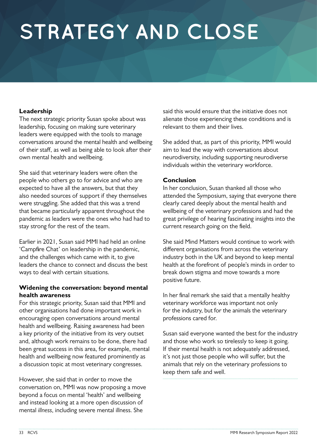# **STRATEGY AND CLOSE**

### **Leadership**

The next strategic priority Susan spoke about was leadership, focusing on making sure veterinary leaders were equipped with the tools to manage conversations around the mental health and wellbeing of their staff, as well as being able to look after their own mental health and wellbeing.

She said that veterinary leaders were often the people who others go to for advice and who are expected to have all the answers, but that they also needed sources of support if they themselves were struggling. She added that this was a trend that became particularly apparent throughout the pandemic as leaders were the ones who had had to stay strong for the rest of the team.

Earlier in 2021, Susan said MMI had held an online 'Campfire Chat' on leadership in the pandemic, and the challenges which came with it, to give leaders the chance to connect and discuss the best ways to deal with certain situations.

### **Widening the conversation: beyond mental health awareness**

For this strategic priority, Susan said that MMI and other organisations had done important work in encouraging open conversations around mental health and wellbeing. Raising awareness had been a key priority of the initiative from its very outset and, although work remains to be done, there had been great success in this area, for example, mental health and wellbeing now featured prominently as a discussion topic at most veterinary congresses.

However, she said that in order to move the conversation on, MMI was now proposing a move beyond a focus on mental 'health' and wellbeing and instead looking at a more open discussion of mental *illness*, including severe mental illness. She

said this would ensure that the initiative does not alienate those experiencing these conditions and is relevant to them and their lives.

She added that, as part of this priority, MMI would aim to lead the way with conversations about neurodiversity, including supporting neurodiverse individuals within the veterinary workforce.

#### **Conclusion**

In her conclusion, Susan thanked all those who attended the Symposium, saying that everyone there clearly cared deeply about the mental health and wellbeing of the veterinary professions and had the great privilege of hearing fascinating insights into the current research going on the field.

She said Mind Matters would continue to work with different organisations from across the veterinary industry both in the UK and beyond to keep mental health at the forefront of people's minds in order to break down stigma and move towards a more positive future.

In her final remark she said that a mentally healthy veterinary workforce was important not only for the industry, but for the animals the veterinary professions cared for.

Susan said everyone wanted the best for the industry and those who work so tirelessly to keep it going. If their mental health is not adequately addressed, it's not just those people who will suffer, but the animals that rely on the veterinary professions to keep them safe and well.